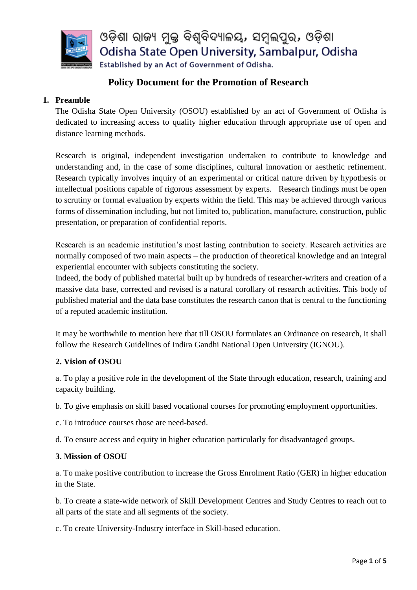

ଓଡ଼ିଶା ରାଜ୍ୟ ମୁକ୍ତ ବିଶ୍ୱବିଦ୍ୟାଳୟ, ସମ୍ବଲପୁର, ଓଡ଼ିଶା Odisha State Open University, Sambalpur, Odisha Established by an Act of Government of Odisha.

# **Policy Document for the Promotion of Research**

# **1. Preamble**

The Odisha State Open University (OSOU) established by an act of Government of Odisha is dedicated to increasing access to quality higher education through appropriate use of open and distance learning methods.

Research is original, independent investigation undertaken to contribute to knowledge and understanding and, in the case of some disciplines, cultural innovation or aesthetic refinement. Research typically involves inquiry of an experimental or critical nature driven by hypothesis or intellectual positions capable of rigorous assessment by experts. Research findings must be open to scrutiny or formal evaluation by experts within the field. This may be achieved through various forms of dissemination including, but not limited to, publication, manufacture, construction, public presentation, or preparation of confidential reports.

Research is an academic institution's most lasting contribution to society. Research activities are normally composed of two main aspects – the production of theoretical knowledge and an integral experiential encounter with subjects constituting the society.

Indeed, the body of published material built up by hundreds of researcher-writers and creation of a massive data base, corrected and revised is a natural corollary of research activities. This body of published material and the data base constitutes the research canon that is central to the functioning of a reputed academic institution.

It may be worthwhile to mention here that till OSOU formulates an Ordinance on research, it shall follow the Research Guidelines of Indira Gandhi National Open University (IGNOU).

## **2. Vision of OSOU**

a. To play a positive role in the development of the State through education, research, training and capacity building.

b. To give emphasis on skill based vocational courses for promoting employment opportunities.

c. To introduce courses those are need-based.

d. To ensure access and equity in higher education particularly for disadvantaged groups.

## **3. Mission of OSOU**

a. To make positive contribution to increase the Gross Enrolment Ratio (GER) in higher education in the State.

b. To create a state-wide network of Skill Development Centres and Study Centres to reach out to all parts of the state and all segments of the society.

c. To create University-Industry interface in Skill-based education.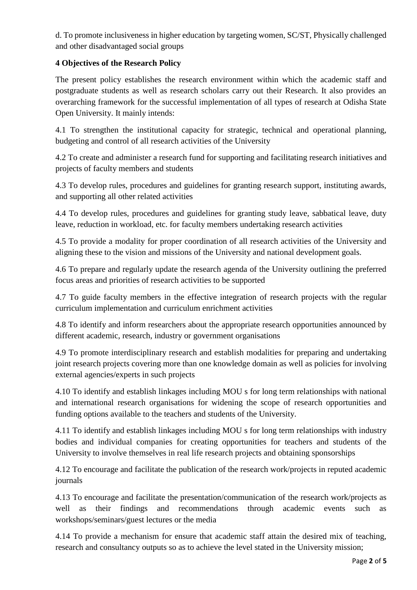d. To promote inclusiveness in higher education by targeting women, SC/ST, Physically challenged and other disadvantaged social groups

# **4 Objectives of the Research Policy**

The present policy establishes the research environment within which the academic staff and postgraduate students as well as research scholars carry out their Research. It also provides an overarching framework for the successful implementation of all types of research at Odisha State Open University. It mainly intends:

4.1 To strengthen the institutional capacity for strategic, technical and operational planning, budgeting and control of all research activities of the University

4.2 To create and administer a research fund for supporting and facilitating research initiatives and projects of faculty members and students

4.3 To develop rules, procedures and guidelines for granting research support, instituting awards, and supporting all other related activities

4.4 To develop rules, procedures and guidelines for granting study leave, sabbatical leave, duty leave, reduction in workload, etc. for faculty members undertaking research activities

4.5 To provide a modality for proper coordination of all research activities of the University and aligning these to the vision and missions of the University and national development goals.

4.6 To prepare and regularly update the research agenda of the University outlining the preferred focus areas and priorities of research activities to be supported

4.7 To guide faculty members in the effective integration of research projects with the regular curriculum implementation and curriculum enrichment activities

4.8 To identify and inform researchers about the appropriate research opportunities announced by different academic, research, industry or government organisations

4.9 To promote interdisciplinary research and establish modalities for preparing and undertaking joint research projects covering more than one knowledge domain as well as policies for involving external agencies/experts in such projects

4.10 To identify and establish linkages including MOU s for long term relationships with national and international research organisations for widening the scope of research opportunities and funding options available to the teachers and students of the University.

4.11 To identify and establish linkages including MOU s for long term relationships with industry bodies and individual companies for creating opportunities for teachers and students of the University to involve themselves in real life research projects and obtaining sponsorships

4.12 To encourage and facilitate the publication of the research work/projects in reputed academic journals

4.13 To encourage and facilitate the presentation/communication of the research work/projects as well as their findings and recommendations through academic events such as workshops/seminars/guest lectures or the media

4.14 To provide a mechanism for ensure that academic staff attain the desired mix of teaching, research and consultancy outputs so as to achieve the level stated in the University mission;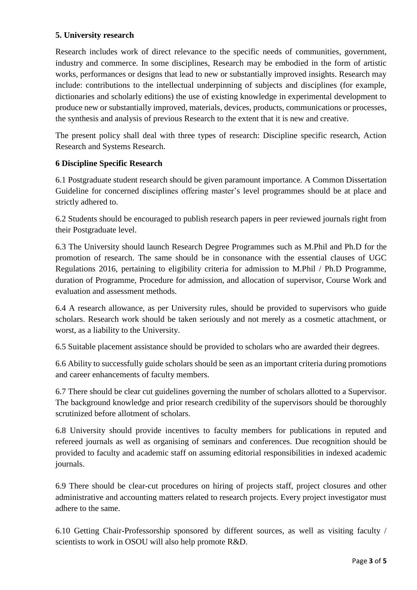## **5. University research**

Research includes work of direct relevance to the specific needs of communities, government, industry and commerce. In some disciplines, Research may be embodied in the form of artistic works, performances or designs that lead to new or substantially improved insights. Research may include: contributions to the intellectual underpinning of subjects and disciplines (for example, dictionaries and scholarly editions) the use of existing knowledge in experimental development to produce new or substantially improved, materials, devices, products, communications or processes, the synthesis and analysis of previous Research to the extent that it is new and creative.

The present policy shall deal with three types of research: Discipline specific research, Action Research and Systems Research.

## **6 Discipline Specific Research**

6.1 Postgraduate student research should be given paramount importance. A Common Dissertation Guideline for concerned disciplines offering master's level programmes should be at place and strictly adhered to.

6.2 Students should be encouraged to publish research papers in peer reviewed journals right from their Postgraduate level.

6.3 The University should launch Research Degree Programmes such as M.Phil and Ph.D for the promotion of research. The same should be in consonance with the essential clauses of UGC Regulations 2016, pertaining to eligibility criteria for admission to M.Phil / Ph.D Programme, duration of Programme, Procedure for admission, and allocation of supervisor, Course Work and evaluation and assessment methods.

6.4 A research allowance, as per University rules, should be provided to supervisors who guide scholars. Research work should be taken seriously and not merely as a cosmetic attachment, or worst, as a liability to the University.

6.5 Suitable placement assistance should be provided to scholars who are awarded their degrees.

6.6 Ability to successfully guide scholars should be seen as an important criteria during promotions and career enhancements of faculty members.

6.7 There should be clear cut guidelines governing the number of scholars allotted to a Supervisor. The background knowledge and prior research credibility of the supervisors should be thoroughly scrutinized before allotment of scholars.

6.8 University should provide incentives to faculty members for publications in reputed and refereed journals as well as organising of seminars and conferences. Due recognition should be provided to faculty and academic staff on assuming editorial responsibilities in indexed academic journals.

6.9 There should be clear-cut procedures on hiring of projects staff, project closures and other administrative and accounting matters related to research projects. Every project investigator must adhere to the same.

6.10 Getting Chair-Professorship sponsored by different sources, as well as visiting faculty / scientists to work in OSOU will also help promote R&D.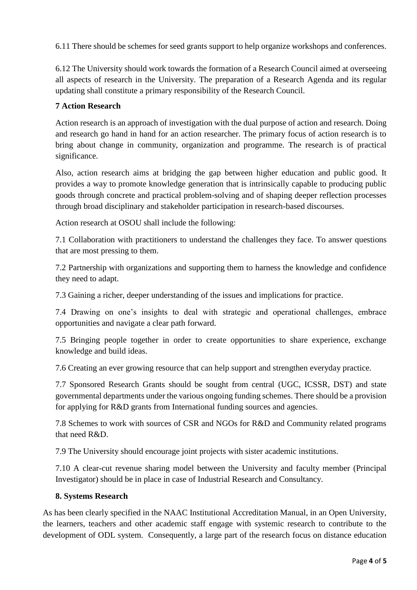6.11 There should be schemes for seed grants support to help organize workshops and conferences.

6.12 The University should work towards the formation of a Research Council aimed at overseeing all aspects of research in the University. The preparation of a Research Agenda and its regular updating shall constitute a primary responsibility of the Research Council.

# **7 Action Research**

Action research is an approach of investigation with the dual purpose of action and research. Doing and research go hand in hand for an action researcher. The primary focus of action research is to bring about change in community, organization and programme. The research is of practical significance.

Also, action research aims at bridging the gap between higher education and public good. It provides a way to promote knowledge generation that is intrinsically capable to producing public goods through concrete and practical problem-solving and of shaping deeper reflection processes through broad disciplinary and stakeholder participation in research-based discourses.

Action research at OSOU shall include the following:

7.1 Collaboration with practitioners to understand the challenges they face. To answer questions that are most pressing to them.

7.2 Partnership with organizations and supporting them to harness the knowledge and confidence they need to adapt.

7.3 Gaining a richer, deeper understanding of the issues and implications for practice.

7.4 Drawing on one's insights to deal with strategic and operational challenges, embrace opportunities and navigate a clear path forward.

7.5 Bringing people together in order to create opportunities to share experience, exchange knowledge and build ideas.

7.6 Creating an ever growing resource that can help support and strengthen everyday practice.

7.7 Sponsored Research Grants should be sought from central (UGC, ICSSR, DST) and state governmental departments under the various ongoing funding schemes. There should be a provision for applying for R&D grants from International funding sources and agencies.

7.8 Schemes to work with sources of CSR and NGOs for R&D and Community related programs that need R&D.

7.9 The University should encourage joint projects with sister academic institutions.

7.10 A clear-cut revenue sharing model between the University and faculty member (Principal Investigator) should be in place in case of Industrial Research and Consultancy.

#### **8. Systems Research**

As has been clearly specified in the NAAC Institutional Accreditation Manual, in an Open University, the learners, teachers and other academic staff engage with systemic research to contribute to the development of ODL system. Consequently, a large part of the research focus on distance education